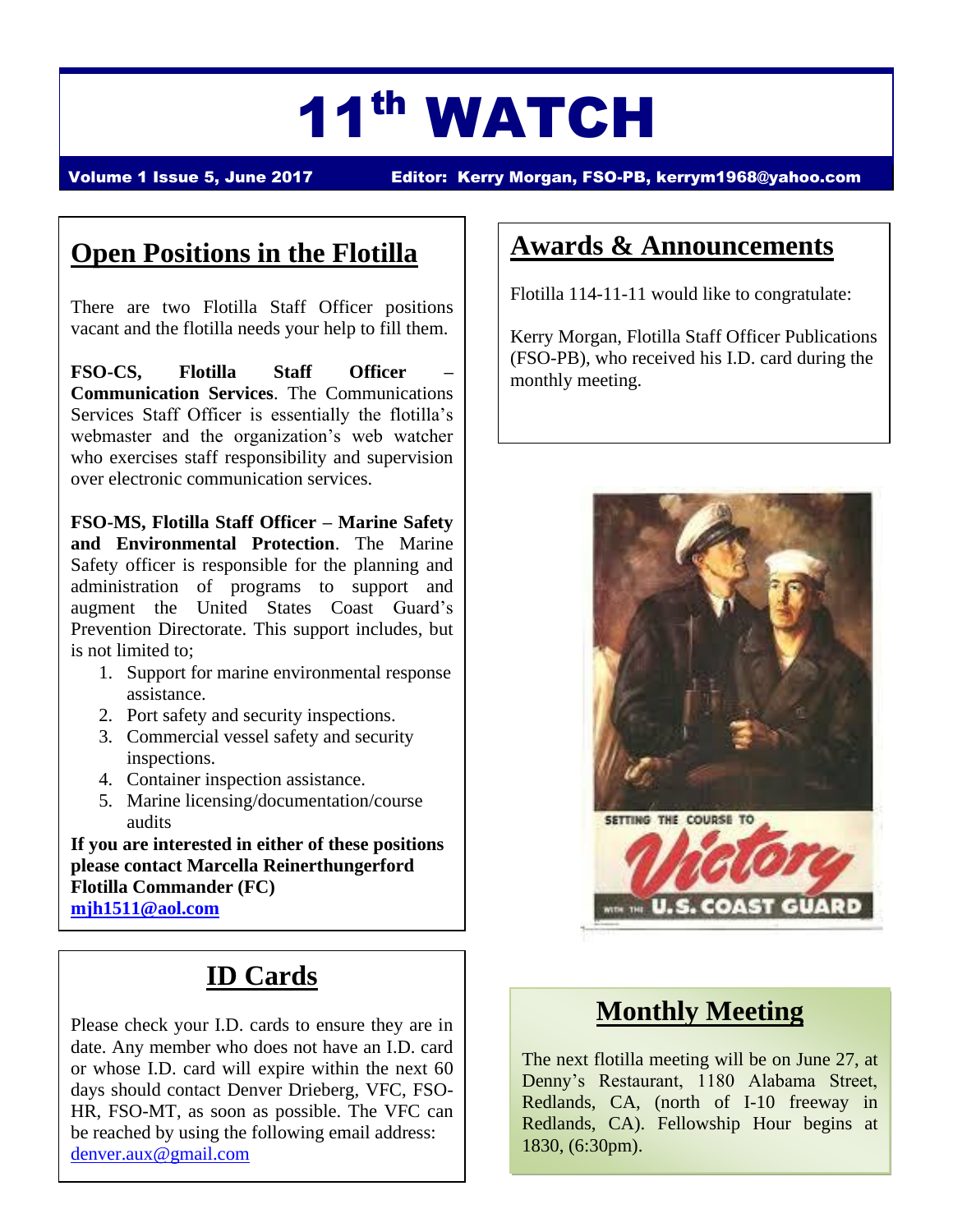# 11th WATCH

Volume 1 Issue 5, June 2017 Editor: Kerry Morgan, FSO-PB, [kerrym1968@yahoo.com](mailto:kerrym1968@yahoo.com)

## **Open Positions in the Flotilla**

There are two Flotilla Staff Officer positions vacant and the flotilla needs your help to fill them.

**FSO-CS, Flotilla Staff Officer – Communication Services**. The Communications Services Staff Officer is essentially the flotilla's webmaster and the organization's web watcher who exercises staff responsibility and supervision over electronic communication services.

**FSO-MS, Flotilla Staff Officer – Marine Safety and Environmental Protection**. The Marine Safety officer is responsible for the planning and administration of programs to support and augment the United States Coast Guard's Prevention Directorate. This support includes, but is not limited to;

- 1. Support for marine environmental response assistance.
- 2. Port safety and security inspections.
- 3. Commercial vessel safety and security inspections.
- 4. Container inspection assistance.
- 5. Marine licensing/documentation/course audits

**If you are interested in either of these positions please contact Marcella Reinerthungerford Flotilla Commander (FC) [mjh1511@aol.com](mailto:mjh1511@aol.com)**

# **ID Cards**

Please check your I.D. cards to ensure they are in date. Any member who does not have an I.D. card or whose I.D. card will expire within the next 60 days should contact Denver Drieberg, VFC, FSO-HR, FSO-MT, as soon as possible. The VFC can be reached by using the following email address: [denver.aux@gmail.com](mailto:denver.aux@gmail.com)

### **Awards & Announcements**

Flotilla 114-11-11 would like to congratulate:

Kerry Morgan, Flotilla Staff Officer Publications (FSO-PB), who received his I.D. card during the monthly meeting.



### **Monthly Meeting**

The next flotilla meeting will be on June 27, at Denny's Restaurant, 1180 Alabama Street, Redlands, CA, (north of I-10 freeway in Redlands, CA). Fellowship Hour begins at 1830, (6:30pm).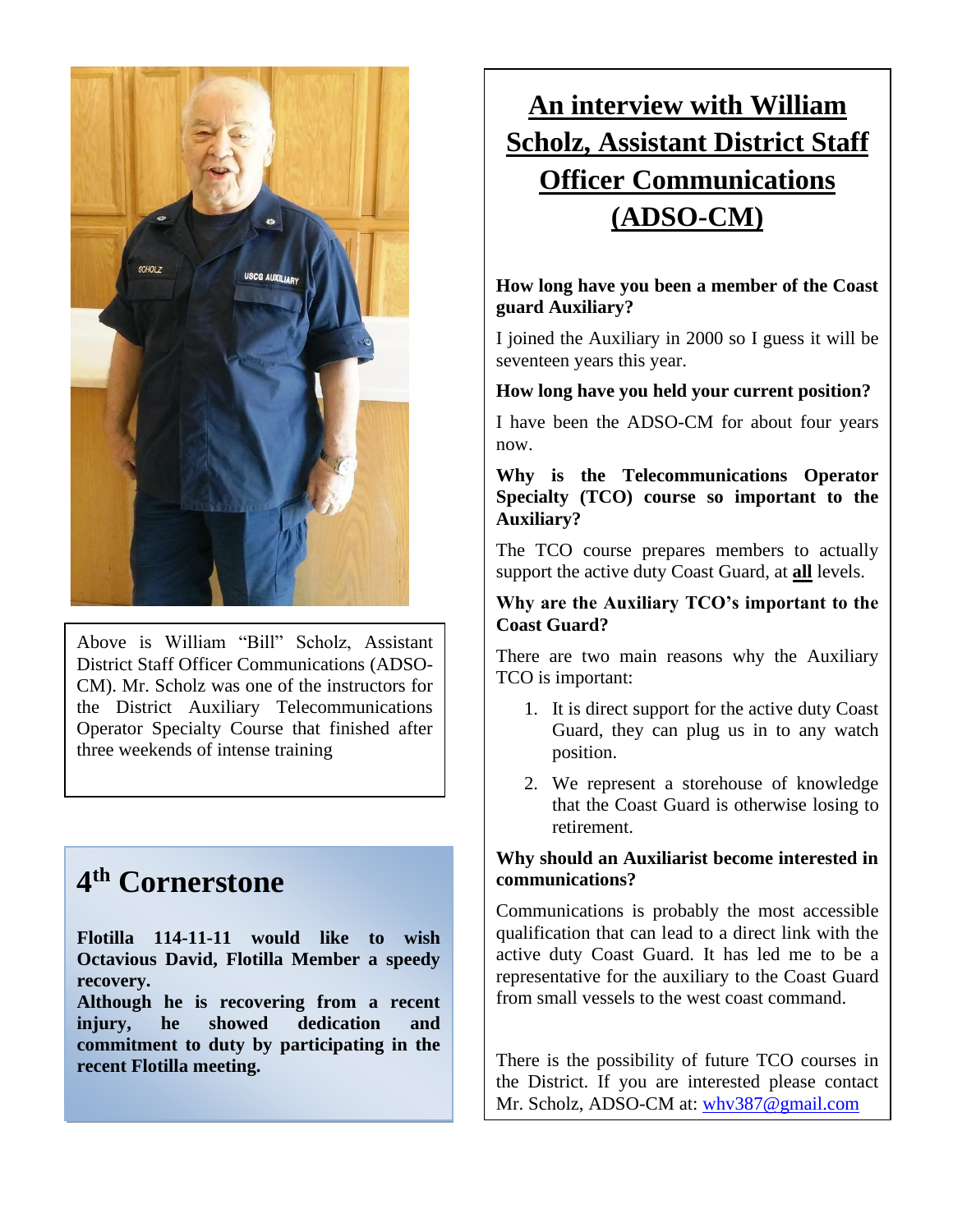

Above is William "Bill" Scholz, Assistant District Staff Officer Communications (ADSO-CM). Mr. Scholz was one of the instructors for the District Auxiliary Telecommunications Operator Specialty Course that finished after three weekends of intense training

## **4 th Cornerstone**

**Flotilla 114-11-11 would like to wish Octavious David, Flotilla Member a speedy recovery.**

**Although he is recovering from a recent injury, he showed dedication and commitment to duty by participating in the recent Flotilla meeting.**

# **An interview with William Scholz, Assistant District Staff Officer Communications (ADSO-CM)**

#### **How long have you been a member of the Coast guard Auxiliary?**

I joined the Auxiliary in 2000 so I guess it will be seventeen years this year.

#### **How long have you held your current position?**

I have been the ADSO-CM for about four years now.

**Why is the Telecommunications Operator Specialty (TCO) course so important to the Auxiliary?**

The TCO course prepares members to actually support the active duty Coast Guard, at **all** levels.

#### **Why are the Auxiliary TCO's important to the Coast Guard?**

There are two main reasons why the Auxiliary TCO is important:

- 1. It is direct support for the active duty Coast Guard, they can plug us in to any watch position.
- 2. We represent a storehouse of knowledge that the Coast Guard is otherwise losing to retirement.

#### **Why should an Auxiliarist become interested in communications?**

Communications is probably the most accessible qualification that can lead to a direct link with the active duty Coast Guard. It has led me to be a representative for the auxiliary to the Coast Guard from small vessels to the west coast command.

There is the possibility of future TCO courses in the District. If you are interested please contact Mr. Scholz, ADSO-CM at: [whv387@gmail.com](mailto:whv387@gmail.com)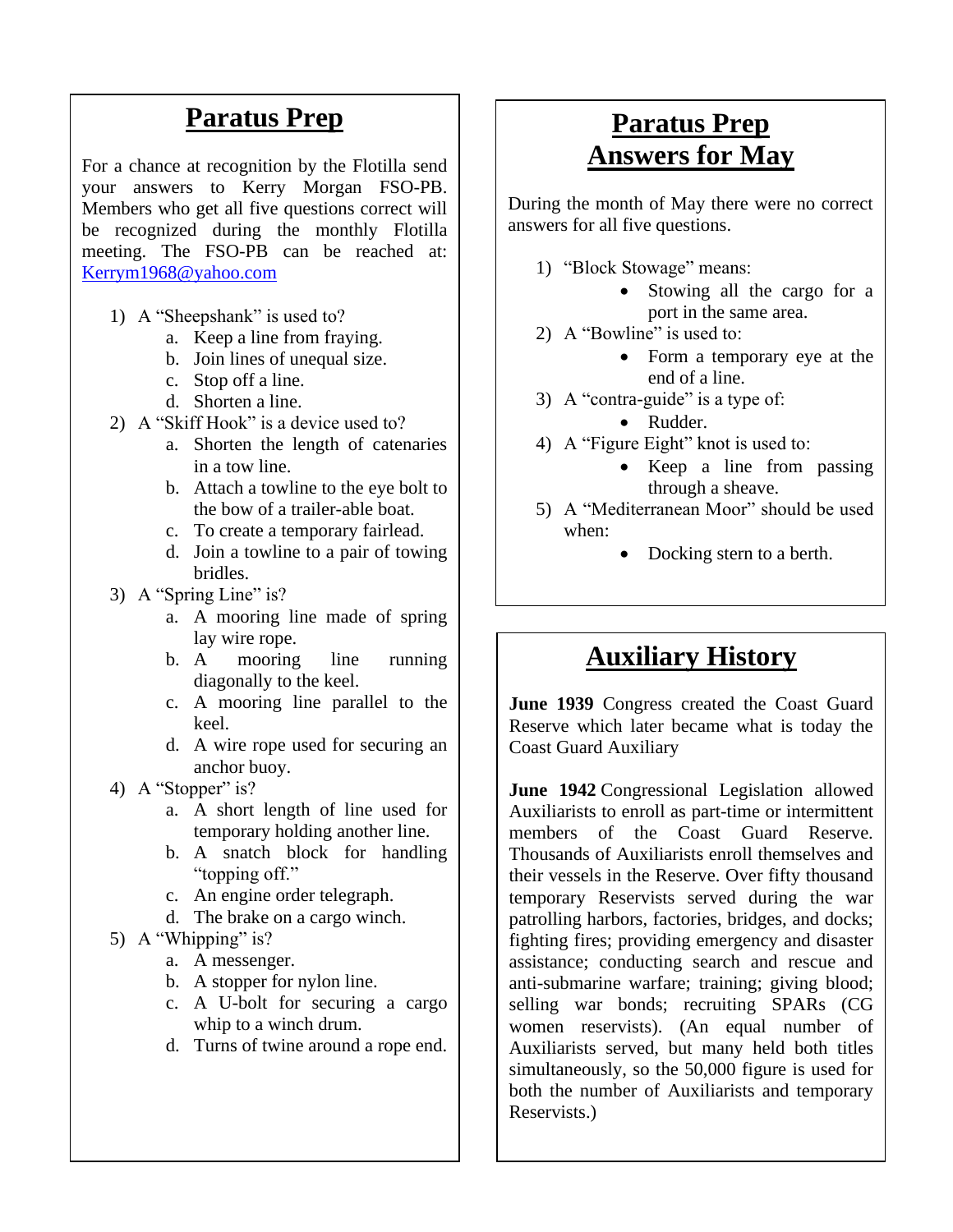### **Paratus Prep**

For a chance at recognition by the Flotilla send your answers to Kerry Morgan FSO-PB. Members who get all five questions correct will be recognized during the monthly Flotilla meeting. The FSO-PB can be reached at: [Kerrym1968@yahoo.com](mailto:Kerrym1968@yahoo.com)

- 1) A "Sheepshank" is used to?
	- a. Keep a line from fraying.
	- b. Join lines of unequal size.
	- c. Stop off a line.
	- d. Shorten a line.
- 2) A "Skiff Hook" is a device used to?
	- a. Shorten the length of catenaries in a tow line.
	- b. Attach a towline to the eye bolt to the bow of a trailer-able boat.
	- c. To create a temporary fairlead.
	- d. Join a towline to a pair of towing bridles.
- 3) A "Spring Line" is?
	- a. A mooring line made of spring lay wire rope.
	- b. A mooring line running diagonally to the keel.
	- c. A mooring line parallel to the keel.
	- d. A wire rope used for securing an anchor buoy.
- 4) A "Stopper" is?
	- a. A short length of line used for temporary holding another line.
	- b. A snatch block for handling "topping off."
	- c. An engine order telegraph.
	- d. The brake on a cargo winch.

#### 5) A "Whipping" is?

- a. A messenger.
- b. A stopper for nylon line.
- c. A U-bolt for securing a cargo whip to a winch drum.
- d. Turns of twine around a rope end.

### **Paratus Prep Answers for May**

During the month of May there were no correct answers for all five questions.

- 1) "Block Stowage" means:
	- Stowing all the cargo for a port in the same area.
- 2) A "Bowline" is used to:
	- Form a temporary eye at the end of a line.
- 3) A "contra-guide" is a type of:
	- Rudder.
- 4) A "Figure Eight" knot is used to:
	- Keep a line from passing through a sheave.
- 5) A "Mediterranean Moor" should be used when:
	- Docking stern to a berth.

### **Auxiliary History**

**June 1939** Congress created the Coast Guard Reserve which later became what is today the Coast Guard Auxiliary

**June 1942** Congressional Legislation allowed Auxiliarists to enroll as part-time or intermittent members of the Coast Guard Reserve. Thousands of Auxiliarists enroll themselves and their vessels in the Reserve. Over fifty thousand temporary Reservists served during the war patrolling harbors, factories, bridges, and docks; fighting fires; providing emergency and disaster assistance; conducting search and rescue and anti-submarine warfare; training; giving blood; selling war bonds; recruiting SPARs (CG women reservists). (An equal number of Auxiliarists served, but many held both titles simultaneously, so the 50,000 figure is used for both the number of Auxiliarists and temporary Reservists.)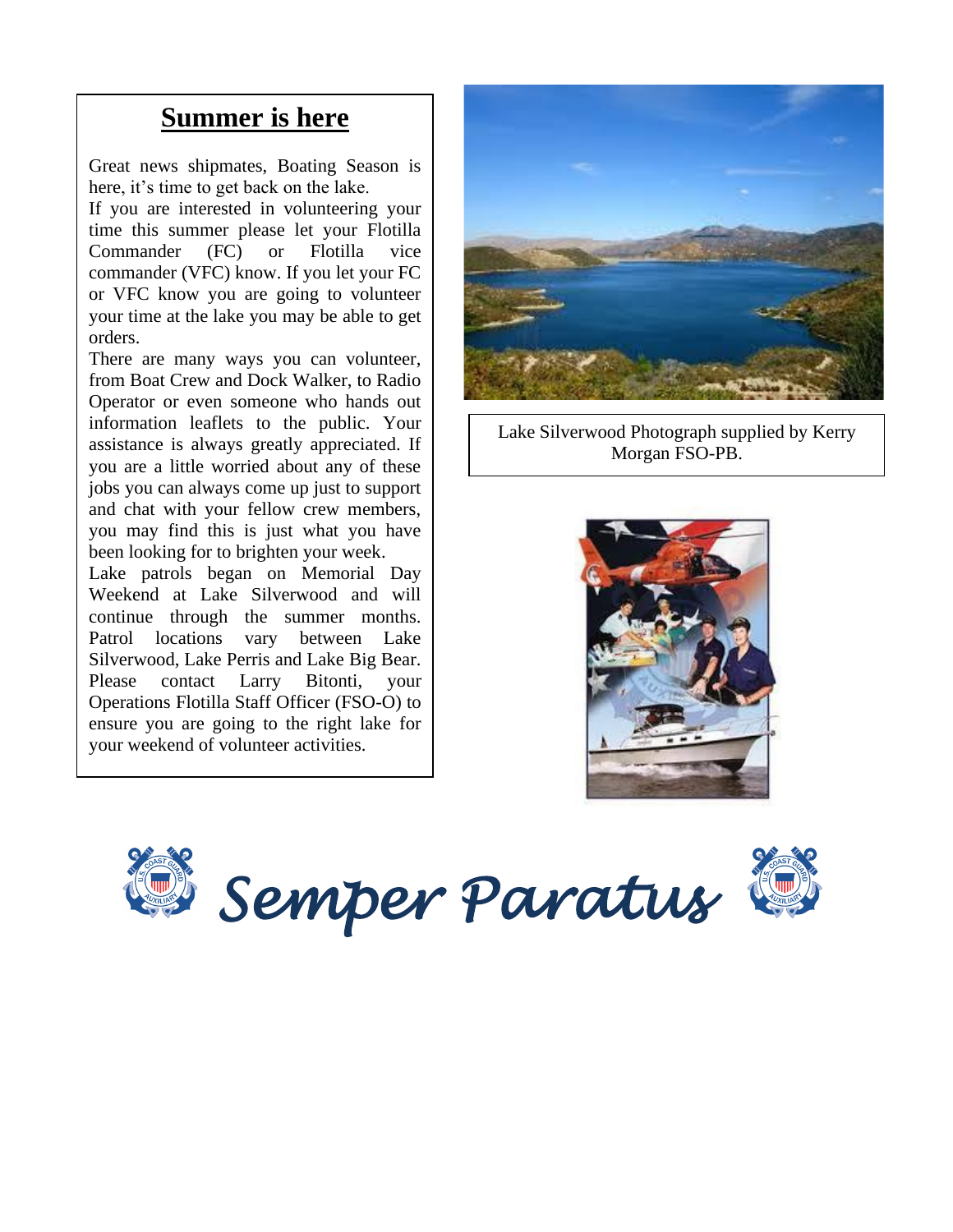### **Summer is here**

Great news shipmates, Boating Season is here, it's time to get back on the lake.

If you are interested in volunteering your time this summer please let your Flotilla Commander (FC) or Flotilla vice commander (VFC) know. If you let your FC or VFC know you are going to volunteer your time at the lake you may be able to get orders.

There are many ways you can volunteer, from Boat Crew and Dock Walker, to Radio Operator or even someone who hands out information leaflets to the public. Your assistance is always greatly appreciated. If you are a little worried about any of these jobs you can always come up just to support and chat with your fellow crew members, you may find this is just what you have been looking for to brighten your week.

Lake patrols began on Memorial Day Weekend at Lake Silverwood and will continue through the summer months. Patrol locations vary between Lake Silverwood, Lake Perris and Lake Big Bear. Please contact Larry Bitonti, your Operations Flotilla Staff Officer (FSO-O) to ensure you are going to the right lake for your weekend of volunteer activities.



Lake Silverwood Photograph supplied by Kerry Morgan FSO-PB.